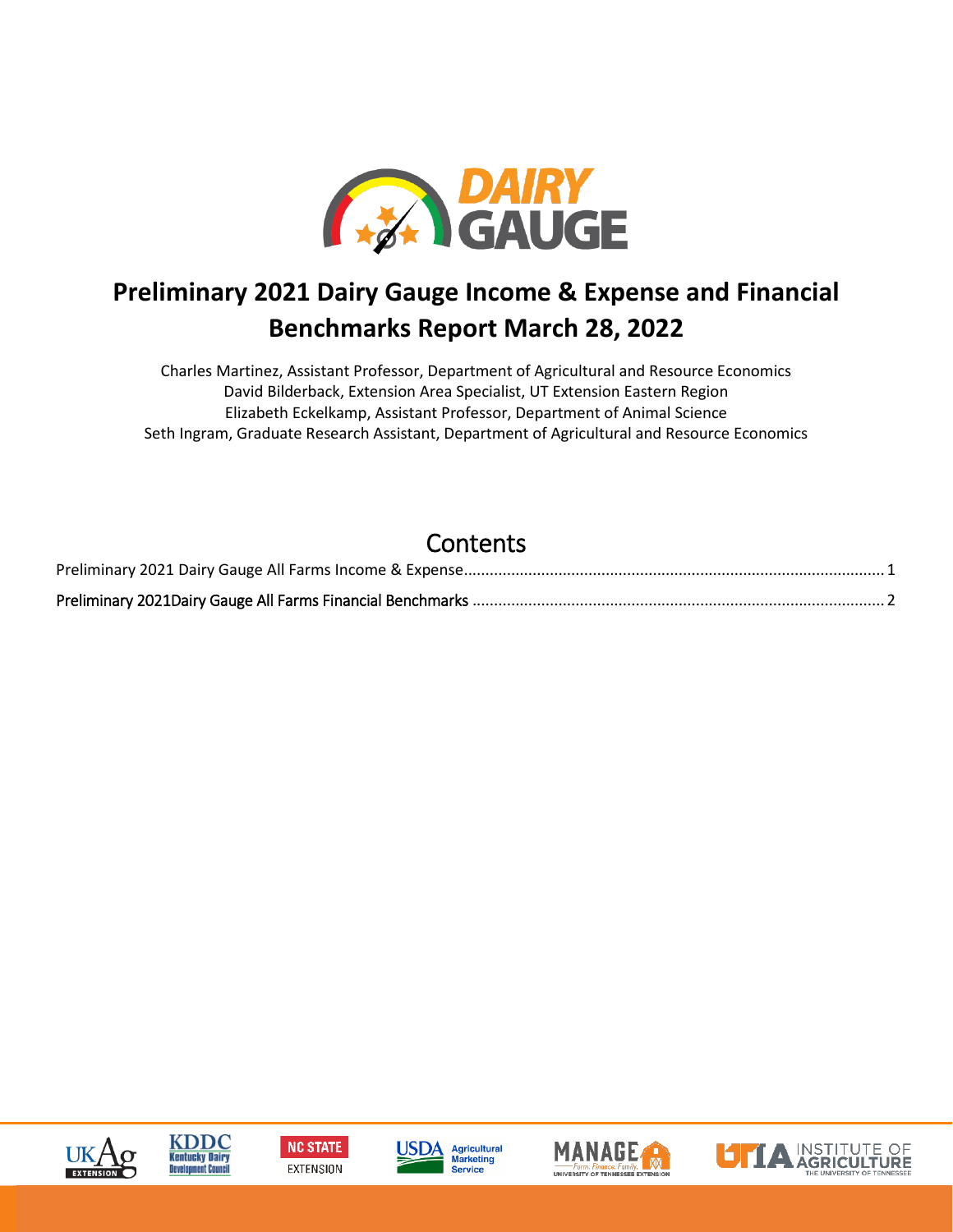

## **Preliminary 2021 Dairy Gauge Income & Expense and Financial Benchmarks Report March 28, 2022**

Charles Martinez, Assistant Professor, Department of Agricultural and Resource Economics David Bilderback, Extension Area Specialist, UT Extension Eastern Region Elizabeth Eckelkamp, Assistant Professor, Department of Animal Science Seth Ingram, Graduate Research Assistant, Department of Agricultural and Resource Economics

## **Contents**













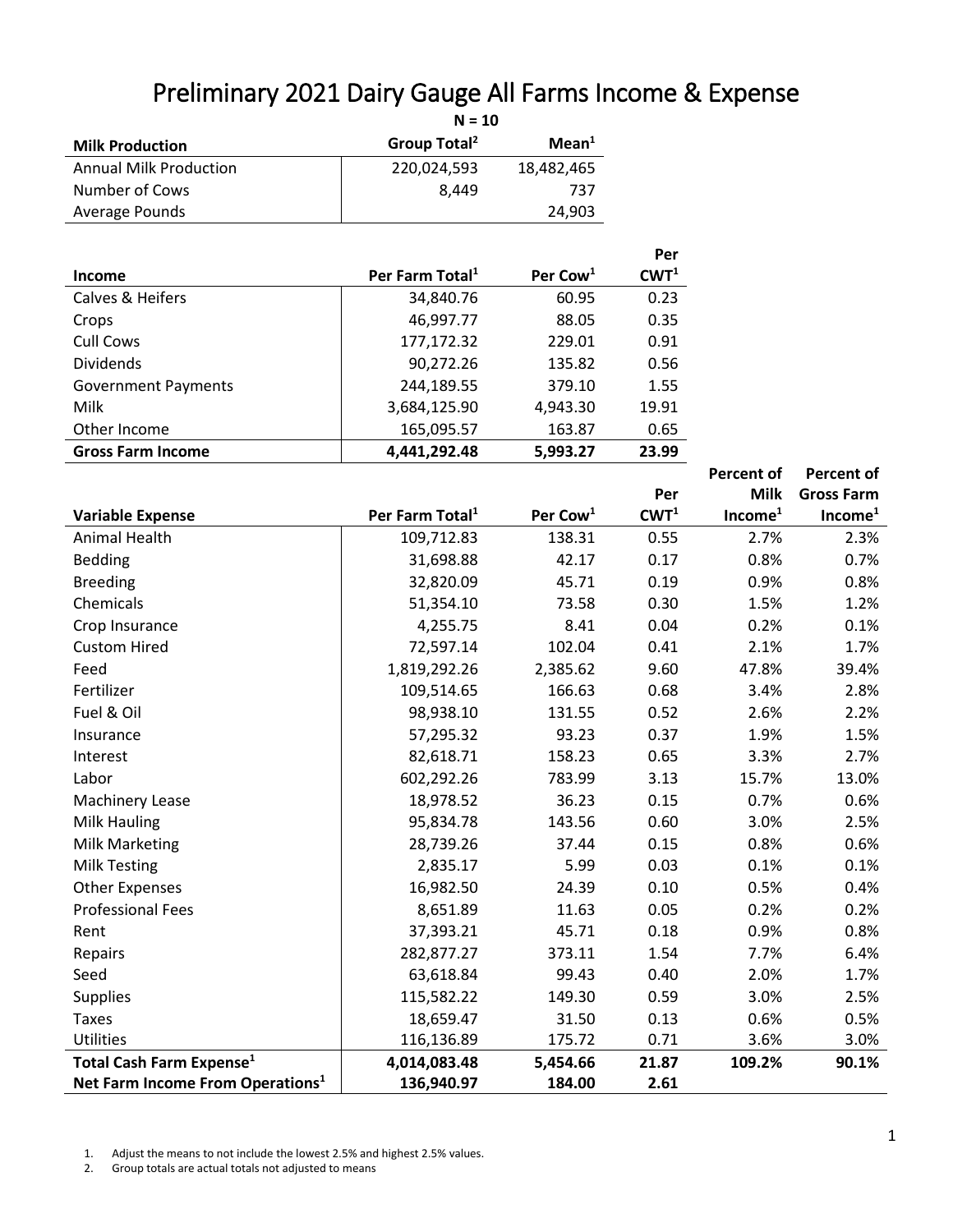<span id="page-1-0"></span>

| Preliminary 2021 Dairy Gauge All Farms Income & Expense<br>$N = 10$ |                          |                   |  |  |  |
|---------------------------------------------------------------------|--------------------------|-------------------|--|--|--|
| <b>Milk Production</b>                                              | Group Total <sup>2</sup> | Mean <sup>1</sup> |  |  |  |
| <b>Annual Milk Production</b>                                       | 220,024,593              | 18,482,465        |  |  |  |
| Number of Cows                                                      | 8.449                    | 737               |  |  |  |
| Average Pounds                                                      |                          | 24,903            |  |  |  |

|                            |                             |                      | Per              |
|----------------------------|-----------------------------|----------------------|------------------|
| Income                     | Per Farm Total <sup>1</sup> | Per Cow <sup>1</sup> | CWT <sup>1</sup> |
| Calves & Heifers           | 34,840.76                   | 60.95                | 0.23             |
| Crops                      | 46,997.77                   | 88.05                | 0.35             |
| Cull Cows                  | 177,172.32                  | 229.01               | 0.91             |
| <b>Dividends</b>           | 90,272.26                   | 135.82               | 0.56             |
| <b>Government Payments</b> | 244,189.55                  | 379.10               | 1.55             |
| Milk                       | 3,684,125.90                | 4,943.30             | 19.91            |
| Other Income               | 165,095.57                  | 163.87               | 0.65             |
| <b>Gross Farm Income</b>   | 4,441,292.48                | 5,993.27             | 23.99            |

|                                              |                             |                      |                  | <b>Percent of</b>   | <b>Percent of</b>   |
|----------------------------------------------|-----------------------------|----------------------|------------------|---------------------|---------------------|
|                                              |                             |                      | Per              | <b>Milk</b>         | <b>Gross Farm</b>   |
| <b>Variable Expense</b>                      | Per Farm Total <sup>1</sup> | Per Cow <sup>1</sup> | CWT <sup>1</sup> | Income <sup>1</sup> | Income <sup>1</sup> |
| <b>Animal Health</b>                         | 109,712.83                  | 138.31               | 0.55             | 2.7%                | 2.3%                |
| <b>Bedding</b>                               | 31,698.88                   | 42.17                | 0.17             | 0.8%                | 0.7%                |
| <b>Breeding</b>                              | 32,820.09                   | 45.71                | 0.19             | 0.9%                | 0.8%                |
| Chemicals                                    | 51,354.10                   | 73.58                | 0.30             | 1.5%                | 1.2%                |
| Crop Insurance                               | 4,255.75                    | 8.41                 | 0.04             | 0.2%                | 0.1%                |
| <b>Custom Hired</b>                          | 72,597.14                   | 102.04               | 0.41             | 2.1%                | 1.7%                |
| Feed                                         | 1,819,292.26                | 2,385.62             | 9.60             | 47.8%               | 39.4%               |
| Fertilizer                                   | 109,514.65                  | 166.63               | 0.68             | 3.4%                | 2.8%                |
| Fuel & Oil                                   | 98,938.10                   | 131.55               | 0.52             | 2.6%                | 2.2%                |
| Insurance                                    | 57,295.32                   | 93.23                | 0.37             | 1.9%                | 1.5%                |
| Interest                                     | 82,618.71                   | 158.23               | 0.65             | 3.3%                | 2.7%                |
| Labor                                        | 602,292.26                  | 783.99               | 3.13             | 15.7%               | 13.0%               |
| Machinery Lease                              | 18,978.52                   | 36.23                | 0.15             | 0.7%                | 0.6%                |
| Milk Hauling                                 | 95,834.78                   | 143.56               | 0.60             | 3.0%                | 2.5%                |
| Milk Marketing                               | 28,739.26                   | 37.44                | 0.15             | 0.8%                | 0.6%                |
| <b>Milk Testing</b>                          | 2,835.17                    | 5.99                 | 0.03             | 0.1%                | 0.1%                |
| <b>Other Expenses</b>                        | 16,982.50                   | 24.39                | 0.10             | 0.5%                | 0.4%                |
| <b>Professional Fees</b>                     | 8,651.89                    | 11.63                | 0.05             | 0.2%                | 0.2%                |
| Rent                                         | 37,393.21                   | 45.71                | 0.18             | 0.9%                | 0.8%                |
| Repairs                                      | 282,877.27                  | 373.11               | 1.54             | 7.7%                | 6.4%                |
| Seed                                         | 63,618.84                   | 99.43                | 0.40             | 2.0%                | 1.7%                |
| <b>Supplies</b>                              | 115,582.22                  | 149.30               | 0.59             | 3.0%                | 2.5%                |
| <b>Taxes</b>                                 | 18,659.47                   | 31.50                | 0.13             | 0.6%                | 0.5%                |
| Utilities                                    | 116,136.89                  | 175.72               | 0.71             | 3.6%                | 3.0%                |
| Total Cash Farm Expense <sup>1</sup>         | 4,014,083.48                | 5,454.66             | 21.87            | 109.2%              | 90.1%               |
| Net Farm Income From Operations <sup>1</sup> | 136,940.97                  | 184.00               | 2.61             |                     |                     |

1. Adjust the means to not include the lowest 2.5% and highest 2.5% values.

2. Group totals are actual totals not adjusted to means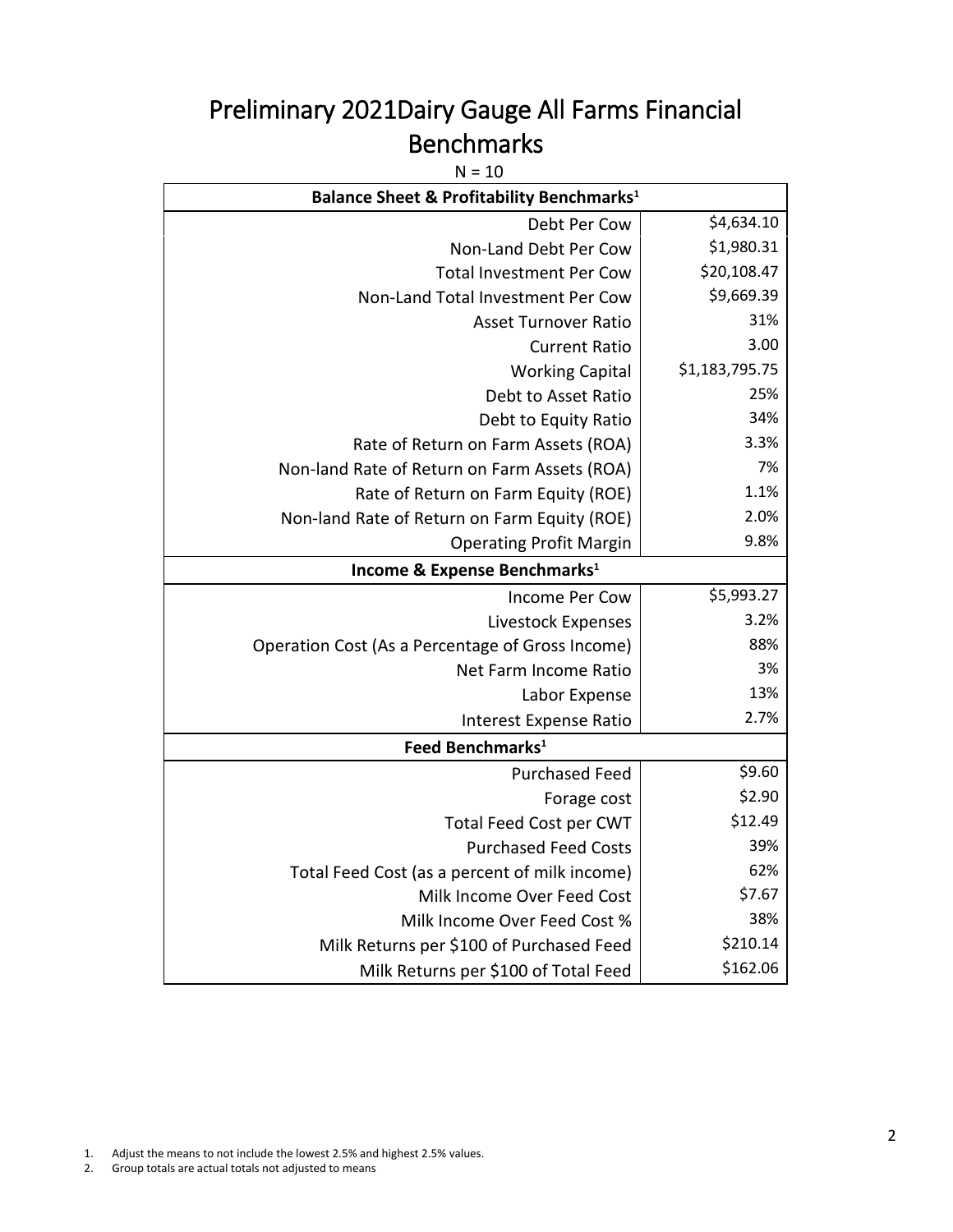## <span id="page-2-0"></span>Preliminary 2021Dairy Gauge All Farms Financial Benchmarks

 $N = 10$ 

| <b>Balance Sheet &amp; Profitability Benchmarks1</b> |                |  |  |
|------------------------------------------------------|----------------|--|--|
| Debt Per Cow                                         | \$4,634.10     |  |  |
| Non-Land Debt Per Cow                                | \$1,980.31     |  |  |
| <b>Total Investment Per Cow</b>                      | \$20,108.47    |  |  |
| Non-Land Total Investment Per Cow                    | \$9,669.39     |  |  |
| <b>Asset Turnover Ratio</b>                          | 31%            |  |  |
| <b>Current Ratio</b>                                 | 3.00           |  |  |
| <b>Working Capital</b>                               | \$1,183,795.75 |  |  |
| Debt to Asset Ratio                                  | 25%            |  |  |
| Debt to Equity Ratio                                 | 34%            |  |  |
| Rate of Return on Farm Assets (ROA)                  | 3.3%           |  |  |
| Non-land Rate of Return on Farm Assets (ROA)         | 7%             |  |  |
| Rate of Return on Farm Equity (ROE)                  | 1.1%           |  |  |
| Non-land Rate of Return on Farm Equity (ROE)         | 2.0%           |  |  |
| <b>Operating Profit Margin</b>                       | 9.8%           |  |  |
| Income & Expense Benchmarks <sup>1</sup>             |                |  |  |
| <b>Income Per Cow</b>                                | \$5,993.27     |  |  |
| Livestock Expenses                                   | 3.2%           |  |  |
| Operation Cost (As a Percentage of Gross Income)     | 88%            |  |  |
| Net Farm Income Ratio                                | 3%             |  |  |
| Labor Expense                                        | 13%            |  |  |
| Interest Expense Ratio                               | 2.7%           |  |  |
| Feed Benchmarks <sup>1</sup>                         |                |  |  |
| <b>Purchased Feed</b>                                | \$9.60         |  |  |
| Forage cost                                          | \$2.90         |  |  |
| Total Feed Cost per CWT                              | \$12.49        |  |  |
| <b>Purchased Feed Costs</b>                          | 39%            |  |  |
| Total Feed Cost (as a percent of milk income)        | 62%            |  |  |
| Milk Income Over Feed Cost                           | \$7.67         |  |  |
| Milk Income Over Feed Cost %                         | 38%            |  |  |
| Milk Returns per \$100 of Purchased Feed             | \$210.14       |  |  |
| Milk Returns per \$100 of Total Feed                 | \$162.06       |  |  |

1. Adjust the means to not include the lowest 2.5% and highest 2.5% values.

2. Group totals are actual totals not adjusted to means